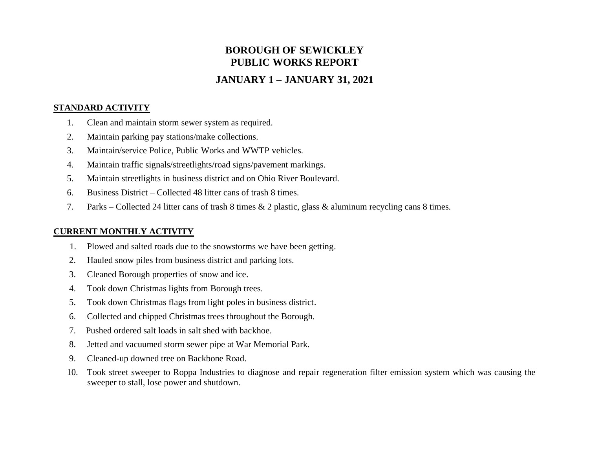# **BOROUGH OF SEWICKLEY PUBLIC WORKS REPORT**

## **JANUARY 1 – JANUARY 31, 2021**

#### **STANDARD ACTIVITY**

- 1. Clean and maintain storm sewer system as required.
- 2. Maintain parking pay stations/make collections.
- 3. Maintain/service Police, Public Works and WWTP vehicles.
- 4. Maintain traffic signals/streetlights/road signs/pavement markings.
- 5. Maintain streetlights in business district and on Ohio River Boulevard.
- 6. Business District Collected 48 litter cans of trash 8 times.
- 7. Parks Collected 24 litter cans of trash 8 times & 2 plastic, glass & aluminum recycling cans 8 times.

#### **CURRENT MONTHLY ACTIVITY**

- 1. Plowed and salted roads due to the snowstorms we have been getting.
- 2. Hauled snow piles from business district and parking lots.
- 3. Cleaned Borough properties of snow and ice.
- 4. Took down Christmas lights from Borough trees.
- 5. Took down Christmas flags from light poles in business district.
- 6. Collected and chipped Christmas trees throughout the Borough.
- 7. Pushed ordered salt loads in salt shed with backhoe.
- 8. Jetted and vacuumed storm sewer pipe at War Memorial Park.
- 9. Cleaned-up downed tree on Backbone Road.
- 10. Took street sweeper to Roppa Industries to diagnose and repair regeneration filter emission system which was causing the sweeper to stall, lose power and shutdown.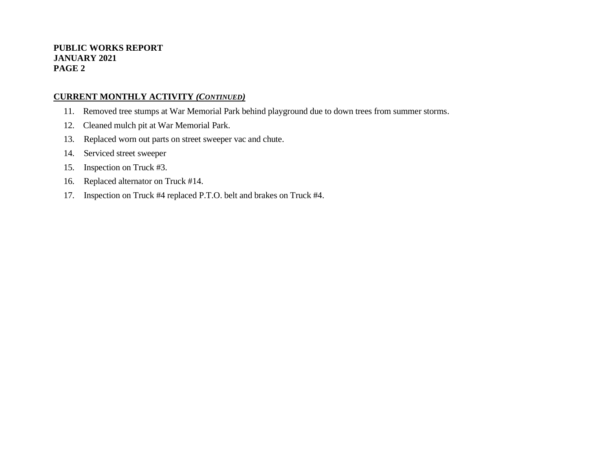#### **PUBLIC WORKS REPORT JANUARY 2021 PAGE 2**

#### **CURRENT MONTHLY ACTIVITY** *(CONTINUED)*

- 11. Removed tree stumps at War Memorial Park behind playground due to down trees from summer storms.
- 12. Cleaned mulch pit at War Memorial Park.
- 13. Replaced worn out parts on street sweeper vac and chute.
- 14. Serviced street sweeper
- 15. Inspection on Truck #3.
- 16. Replaced alternator on Truck #14.
- 17. Inspection on Truck #4 replaced P.T.O. belt and brakes on Truck #4.